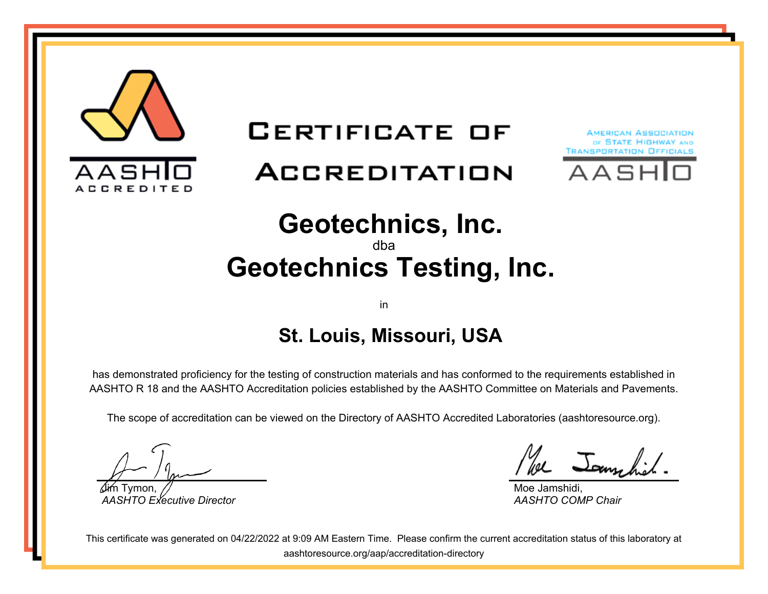

### **CERTIFICATE OF**

# ACCREDITATION





#### **Geotechnics, Inc.** dba

# **Geotechnics Testing, Inc.**

#### in

### **St. Louis, Missouri, USA**

has demonstrated proficiency for the testing of construction materials and has conformed to the requirements established in AASHTO R 18 and the AASHTO Accreditation policies established by the AASHTO Committee on Materials and Pavements.

The scope of accreditation can be viewed on the Directory of AASHTO Accredited Laboratories (aashtoresource.org).

Jim Tymon, *AASHTO Executive Director*

se Jamehich

Moe Jamshidi, *AASHTO COMP Chair*

This certificate was generated on 04/22/2022 at 9:09 AM Eastern Time. Please confirm the current accreditation status of this laboratory at aashtoresource.org/aap/accreditation-directory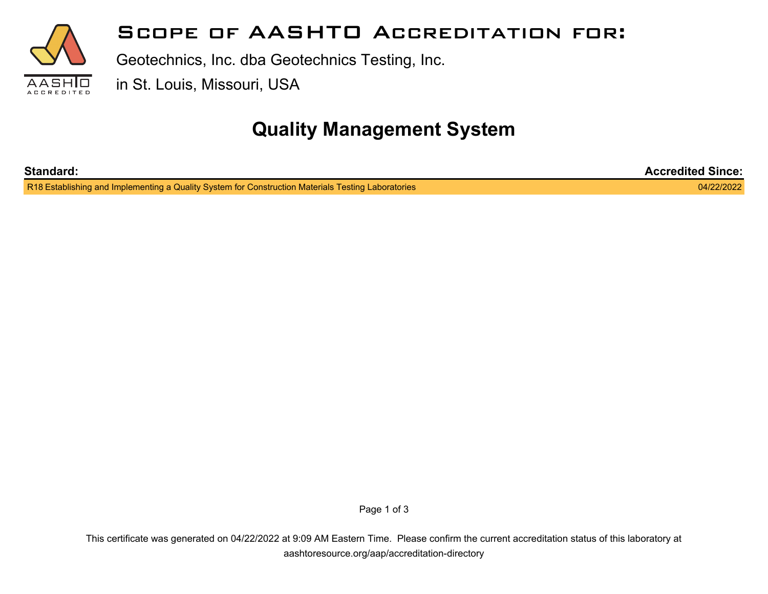

#### **Scope of AASHTO Accreditation for:**

Geotechnics, Inc. dba Geotechnics Testing, Inc.

in St. Louis, Missouri, USA

### **Quality Management System**

| <b>Standard:</b>                                                                                   | <b>Accredited Since:</b> |
|----------------------------------------------------------------------------------------------------|--------------------------|
| R18 Establishing and Implementing a Quality System for Construction Materials Testing Laboratories | 04/22/2022               |

Page 1 of 3

This certificate was generated on 04/22/2022 at 9:09 AM Eastern Time. Please confirm the current accreditation status of this laboratory at aashtoresource.org/aap/accreditation-directory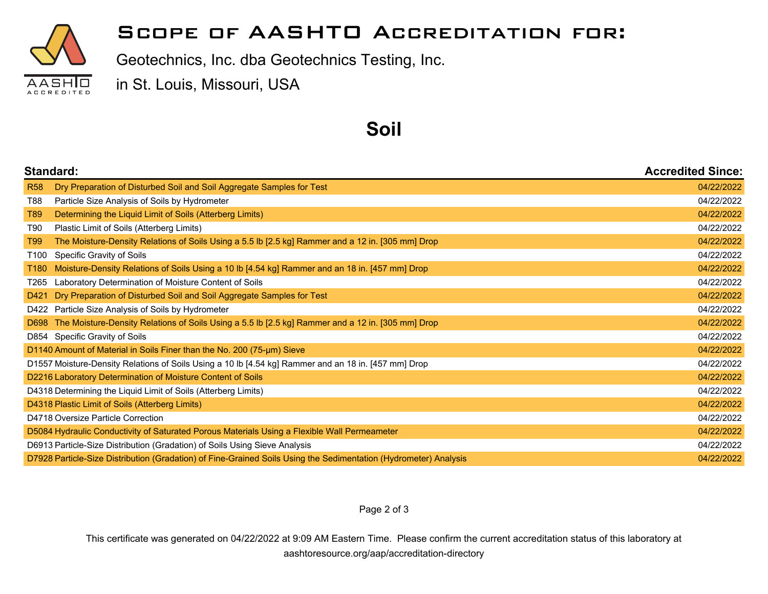

#### **Scope of AASHTO Accreditation for:**

Geotechnics, Inc. dba Geotechnics Testing, Inc.

in St. Louis, Missouri, USA

#### **Soil**

| Standard:  |                                                                                                                  | <b>Accredited Since:</b> |
|------------|------------------------------------------------------------------------------------------------------------------|--------------------------|
| <b>R58</b> | Dry Preparation of Disturbed Soil and Soil Aggregate Samples for Test                                            | 04/22/2022               |
| T88        | Particle Size Analysis of Soils by Hydrometer                                                                    | 04/22/2022               |
| T89        | Determining the Liquid Limit of Soils (Atterberg Limits)                                                         | 04/22/2022               |
| T90        | Plastic Limit of Soils (Atterberg Limits)                                                                        | 04/22/2022               |
| T99        | The Moisture-Density Relations of Soils Using a 5.5 lb [2.5 kg] Rammer and a 12 in. [305 mm] Drop                | 04/22/2022               |
| T100       | Specific Gravity of Soils                                                                                        | 04/22/2022               |
| T180       | Moisture-Density Relations of Soils Using a 10 lb [4.54 kg] Rammer and an 18 in. [457 mm] Drop                   | 04/22/2022               |
| T265       | Laboratory Determination of Moisture Content of Soils                                                            | 04/22/2022               |
| D421       | Dry Preparation of Disturbed Soil and Soil Aggregate Samples for Test                                            | 04/22/2022               |
|            | D422 Particle Size Analysis of Soils by Hydrometer                                                               | 04/22/2022               |
|            | D698 The Moisture-Density Relations of Soils Using a 5.5 lb [2.5 kg] Rammer and a 12 in. [305 mm] Drop           | 04/22/2022               |
|            | D854 Specific Gravity of Soils                                                                                   | 04/22/2022               |
|            | D1140 Amount of Material in Soils Finer than the No. 200 (75-um) Sieve                                           | 04/22/2022               |
|            | D1557 Moisture-Density Relations of Soils Using a 10 lb [4.54 kg] Rammer and an 18 in. [457 mm] Drop             | 04/22/2022               |
|            | D2216 Laboratory Determination of Moisture Content of Soils                                                      | 04/22/2022               |
|            | D4318 Determining the Liquid Limit of Soils (Atterberg Limits)                                                   | 04/22/2022               |
|            | D4318 Plastic Limit of Soils (Atterberg Limits)                                                                  | 04/22/2022               |
|            | D4718 Oversize Particle Correction                                                                               | 04/22/2022               |
|            | D5084 Hydraulic Conductivity of Saturated Porous Materials Using a Flexible Wall Permeameter                     | 04/22/2022               |
|            | D6913 Particle-Size Distribution (Gradation) of Soils Using Sieve Analysis                                       | 04/22/2022               |
|            | D7928 Particle-Size Distribution (Gradation) of Fine-Grained Soils Using the Sedimentation (Hydrometer) Analysis | 04/22/2022               |

Page 2 of 3

This certificate was generated on 04/22/2022 at 9:09 AM Eastern Time. Please confirm the current accreditation status of this laboratory at aashtoresource.org/aap/accreditation-directory